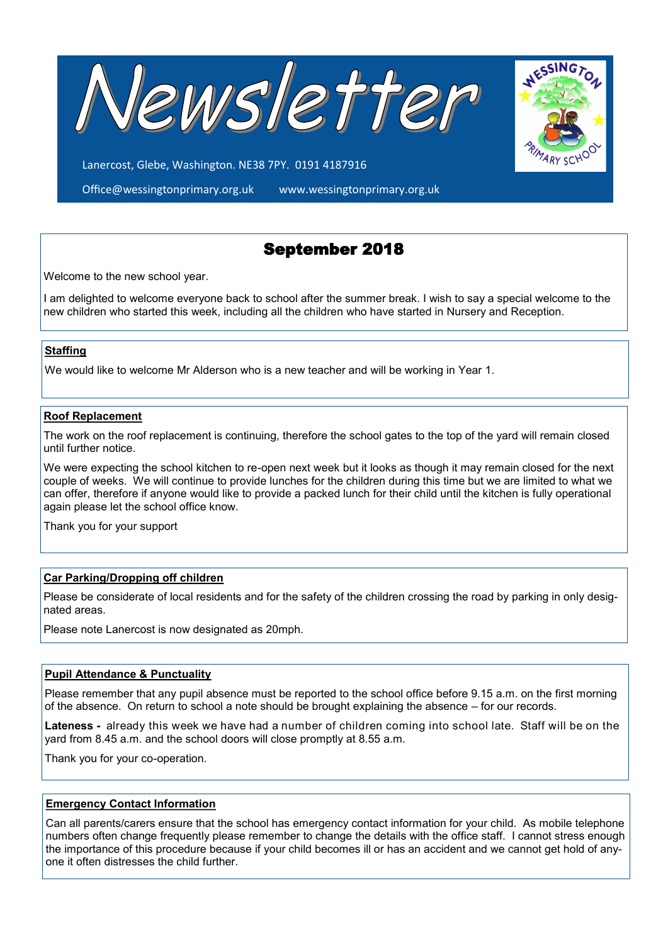

Lanercost, Glebe, Washington. NE38 7PY. 0191 4187916

Office@wessingtonprimary.org.uk www.wessingtonprimary.org.uk



Welcome to the new school year.

I am delighted to welcome everyone back to school after the summer break. I wish to say a special welcome to the new children who started this week, including all the children who have started in Nursery and Reception.

## **Staffing**

We would like to welcome Mr Alderson who is a new teacher and will be working in Year 1.

#### **Roof Replacement**

The work on the roof replacement is continuing, therefore the school gates to the top of the yard will remain closed until further notice.

We were expecting the school kitchen to re-open next week but it looks as though it may remain closed for the next couple of weeks. We will continue to provide lunches for the children during this time but we are limited to what we can offer, therefore if anyone would like to provide a packed lunch for their child until the kitchen is fully operational again please let the school office know.

Thank you for your support

## **Car Parking/Dropping off children**

Please be considerate of local residents and for the safety of the children crossing the road by parking in only designated areas.

Please note Lanercost is now designated as 20mph.

#### **Pupil Attendance & Punctuality**

Please remember that any pupil absence must be reported to the school office before 9.15 a.m. on the first morning of the absence. On return to school a note should be brought explaining the absence – for our records.

**Lateness -** already this week we have had a number of children coming into school late. Staff will be on the yard from 8.45 a.m. and the school doors will close promptly at 8.55 a.m.

Thank you for your co-operation.

#### **Emergency Contact Information**

Can all parents/carers ensure that the school has emergency contact information for your child. As mobile telephone numbers often change frequently please remember to change the details with the office staff. I cannot stress enough the importance of this procedure because if your child becomes ill or has an accident and we cannot get hold of anyone it often distresses the child further.